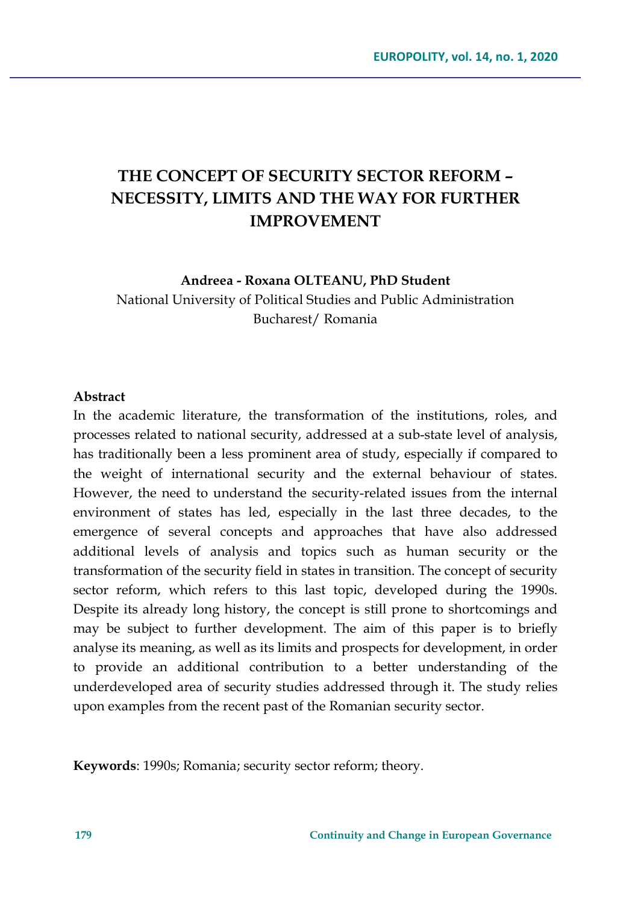# **THE CONCEPT OF SECURITY SECTOR REFORM – NECESSITY, LIMITS AND THE WAY FOR FURTHER IMPROVEMENT**

**Andreea - Roxana OLTEANU, PhD Student**

National University of Political Studies and Public Administration Bucharest/ Romania

#### **Abstract**

In the academic literature, the transformation of the institutions, roles, and processes related to national security, addressed at a sub-state level of analysis, has traditionally been a less prominent area of study, especially if compared to the weight of international security and the external behaviour of states. However, the need to understand the security-related issues from the internal environment of states has led, especially in the last three decades, to the emergence of several concepts and approaches that have also addressed additional levels of analysis and topics such as human security or the transformation of the security field in states in transition. The concept of security sector reform, which refers to this last topic, developed during the 1990s. Despite its already long history, the concept is still prone to shortcomings and may be subject to further development. The aim of this paper is to briefly analyse its meaning, as well as its limits and prospects for development, in order to provide an additional contribution to a better understanding of the underdeveloped area of security studies addressed through it. The study relies upon examples from the recent past of the Romanian security sector.

**Keywords**: 1990s; Romania; security sector reform; theory.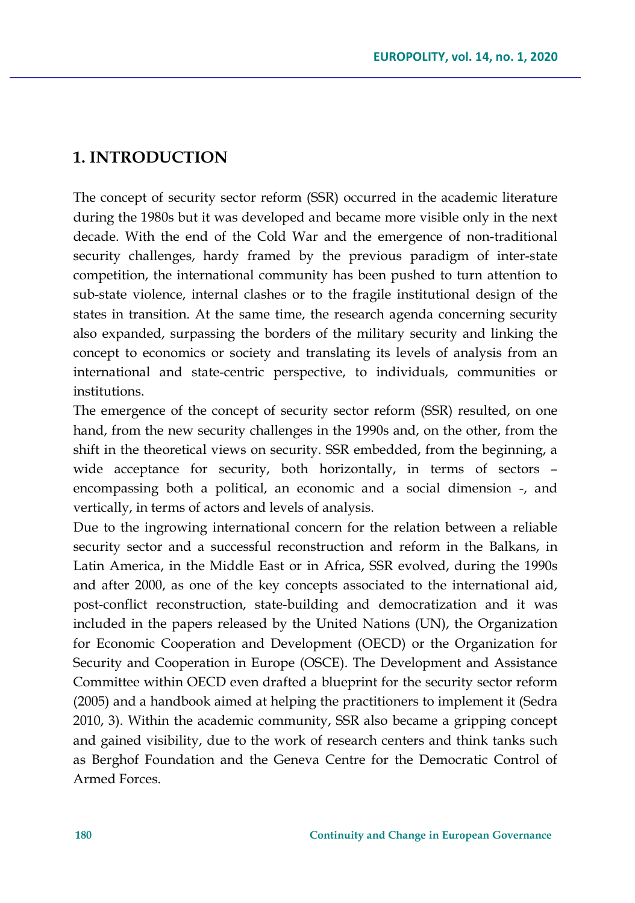#### **1. INTRODUCTION**

The concept of security sector reform (SSR) occurred in the academic literature during the 1980s but it was developed and became more visible only in the next decade. With the end of the Cold War and the emergence of non-traditional security challenges, hardy framed by the previous paradigm of inter-state competition, the international community has been pushed to turn attention to sub-state violence, internal clashes or to the fragile institutional design of the states in transition. At the same time, the research agenda concerning security also expanded, surpassing the borders of the military security and linking the concept to economics or society and translating its levels of analysis from an international and state-centric perspective, to individuals, communities or institutions.

The emergence of the concept of security sector reform (SSR) resulted, on one hand, from the new security challenges in the 1990s and, on the other, from the shift in the theoretical views on security. SSR embedded, from the beginning, a wide acceptance for security, both horizontally, in terms of sectors – encompassing both a political, an economic and a social dimension -, and vertically, in terms of actors and levels of analysis.

Due to the ingrowing international concern for the relation between a reliable security sector and a successful reconstruction and reform in the Balkans, in Latin America, in the Middle East or in Africa, SSR evolved, during the 1990s and after 2000, as one of the key concepts associated to the international aid, post-conflict reconstruction, state-building and democratization and it was included in the papers released by the United Nations (UN), the Organization for Economic Cooperation and Development (OECD) or the Organization for Security and Cooperation in Europe (OSCE). The Development and Assistance Committee within OECD even drafted a blueprint for the security sector reform (2005) and a handbook aimed at helping the practitioners to implement it (Sedra 2010, 3). Within the academic community, SSR also became a gripping concept and gained visibility, due to the work of research centers and think tanks such as Berghof Foundation and the Geneva Centre for the Democratic Control of Armed Forces.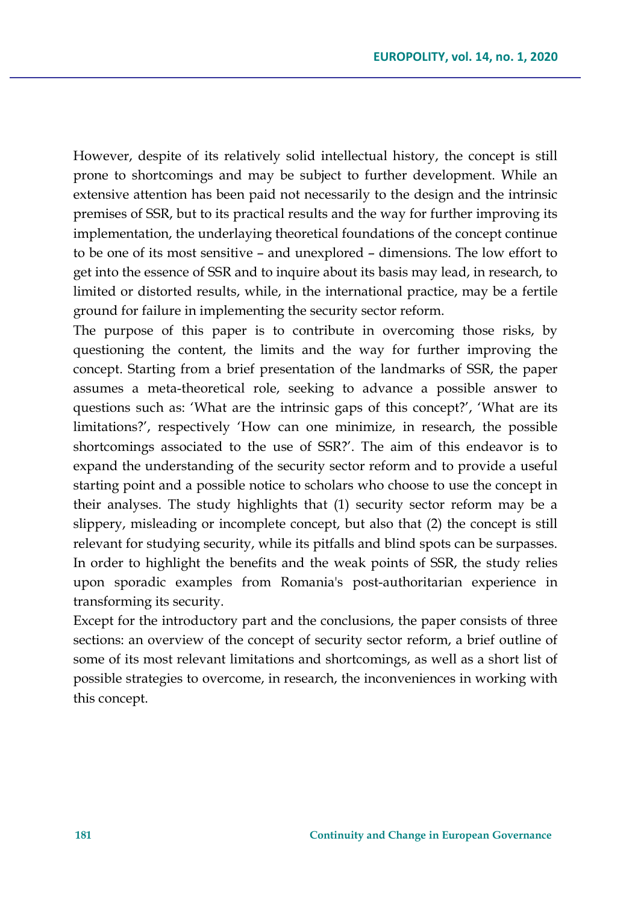However, despite of its relatively solid intellectual history, the concept is still prone to shortcomings and may be subject to further development. While an extensive attention has been paid not necessarily to the design and the intrinsic premises of SSR, but to its practical results and the way for further improving its implementation, the underlaying theoretical foundations of the concept continue to be one of its most sensitive – and unexplored – dimensions. The low effort to get into the essence of SSR and to inquire about its basis may lead, in research, to limited or distorted results, while, in the international practice, may be a fertile ground for failure in implementing the security sector reform.

The purpose of this paper is to contribute in overcoming those risks, by questioning the content, the limits and the way for further improving the concept. Starting from a brief presentation of the landmarks of SSR, the paper assumes a meta-theoretical role, seeking to advance a possible answer to questions such as: 'What are the intrinsic gaps of this concept?', 'What are its limitations?', respectively 'How can one minimize, in research, the possible shortcomings associated to the use of SSR?'. The aim of this endeavor is to expand the understanding of the security sector reform and to provide a useful starting point and a possible notice to scholars who choose to use the concept in their analyses. The study highlights that (1) security sector reform may be a slippery, misleading or incomplete concept, but also that (2) the concept is still relevant for studying security, while its pitfalls and blind spots can be surpasses. In order to highlight the benefits and the weak points of SSR, the study relies upon sporadic examples from Romania's post-authoritarian experience in transforming its security.

Except for the introductory part and the conclusions, the paper consists of three sections: an overview of the concept of security sector reform, a brief outline of some of its most relevant limitations and shortcomings, as well as a short list of possible strategies to overcome, in research, the inconveniences in working with this concept.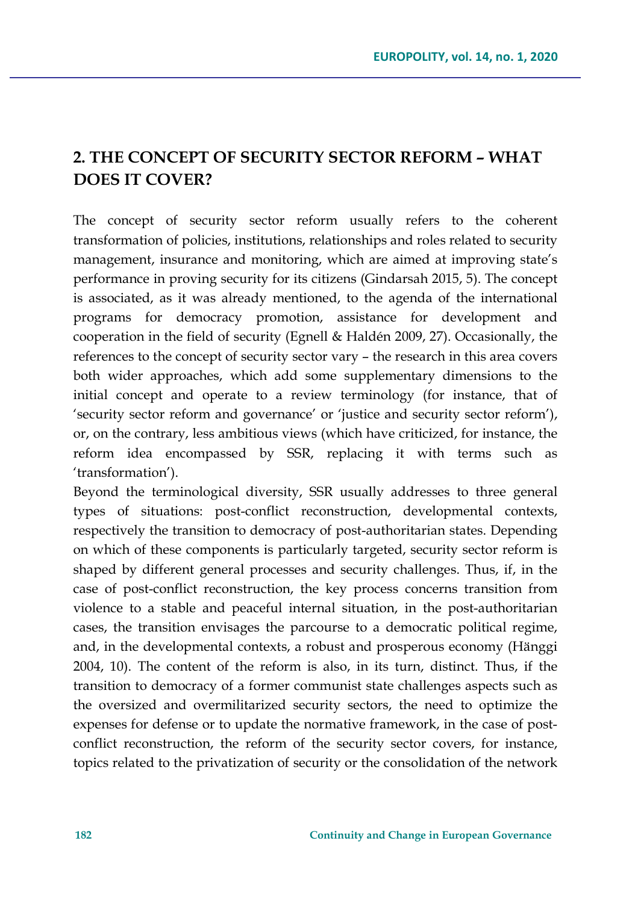## **2. THE CONCEPT OF SECURITY SECTOR REFORM** *–* **WHAT DOES IT COVER?**

The concept of security sector reform usually refers to the coherent transformation of policies, institutions, relationships and roles related to security management, insurance and monitoring, which are aimed at improving state's performance in proving security for its citizens (Gindarsah 2015, 5). The concept is associated, as it was already mentioned, to the agenda of the international programs for democracy promotion, assistance for development and cooperation in the field of security (Egnell & Haldén 2009, 27). Occasionally, the references to the concept of security sector vary – the research in this area covers both wider approaches, which add some supplementary dimensions to the initial concept and operate to a review terminology (for instance, that of 'security sector reform and governance' or 'justice and security sector reform'), or, on the contrary, less ambitious views (which have criticized, for instance, the reform idea encompassed by SSR, replacing it with terms such as 'transformation').

Beyond the terminological diversity, SSR usually addresses to three general types of situations: post-conflict reconstruction, developmental contexts, respectively the transition to democracy of post-authoritarian states. Depending on which of these components is particularly targeted, security sector reform is shaped by different general processes and security challenges. Thus, if, in the case of post-conflict reconstruction, the key process concerns transition from violence to a stable and peaceful internal situation, in the post-authoritarian cases, the transition envisages the parcourse to a democratic political regime, and, in the developmental contexts, a robust and prosperous economy (Hänggi 2004, 10). The content of the reform is also, in its turn, distinct. Thus, if the transition to democracy of a former communist state challenges aspects such as the oversized and overmilitarized security sectors, the need to optimize the expenses for defense or to update the normative framework, in the case of postconflict reconstruction, the reform of the security sector covers, for instance, topics related to the privatization of security or the consolidation of the network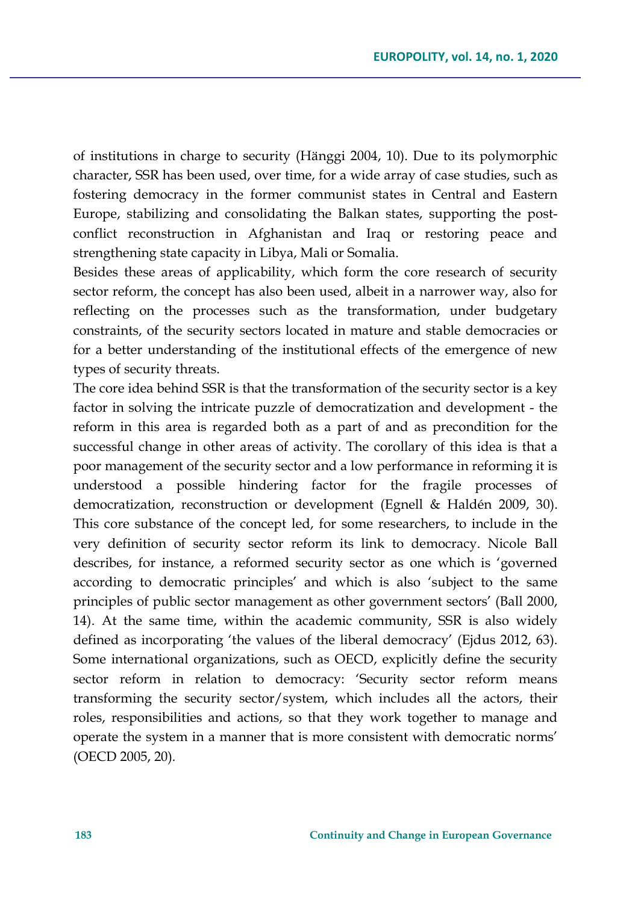of institutions in charge to security (Hänggi 2004, 10). Due to its polymorphic character, SSR has been used, over time, for a wide array of case studies, such as fostering democracy in the former communist states in Central and Eastern Europe, stabilizing and consolidating the Balkan states, supporting the postconflict reconstruction in Afghanistan and Iraq or restoring peace and strengthening state capacity in Libya, Mali or Somalia.

Besides these areas of applicability, which form the core research of security sector reform, the concept has also been used, albeit in a narrower way, also for reflecting on the processes such as the transformation, under budgetary constraints, of the security sectors located in mature and stable democracies or for a better understanding of the institutional effects of the emergence of new types of security threats.

The core idea behind SSR is that the transformation of the security sector is a key factor in solving the intricate puzzle of democratization and development - the reform in this area is regarded both as a part of and as precondition for the successful change in other areas of activity. The corollary of this idea is that a poor management of the security sector and a low performance in reforming it is understood a possible hindering factor for the fragile processes of democratization, reconstruction or development (Egnell & Haldén 2009, 30). This core substance of the concept led, for some researchers, to include in the very definition of security sector reform its link to democracy. Nicole Ball describes, for instance, a reformed security sector as one which is 'governed according to democratic principles' and which is also 'subject to the same principles of public sector management as other government sectors' (Ball 2000, 14). At the same time, within the academic community, SSR is also widely defined as incorporating 'the values of the liberal democracy' (Ejdus 2012, 63). Some international organizations, such as OECD, explicitly define the security sector reform in relation to democracy: 'Security sector reform means transforming the security sector/system, which includes all the actors, their roles, responsibilities and actions, so that they work together to manage and operate the system in a manner that is more consistent with democratic norms' (OECD 2005, 20)*.*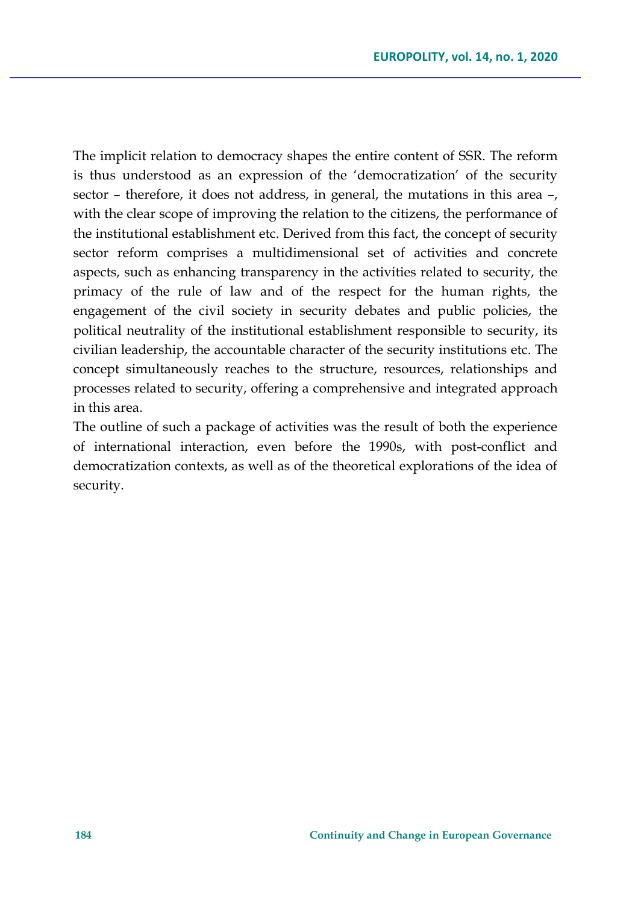The implicit relation to democracy shapes the entire content of SSR. The reform is thus understood as an expression of the 'democratization' of the security sector – therefore, it does not address, in general, the mutations in this area –, with the clear scope of improving the relation to the citizens, the performance of the institutional establishment etc. Derived from this fact, the concept of security sector reform comprises a multidimensional set of activities and concrete aspects, such as enhancing transparency in the activities related to security, the primacy of the rule of law and of the respect for the human rights, the engagement of the civil society in security debates and public policies, the political neutrality of the institutional establishment responsible to security, its civilian leadership, the accountable character of the security institutions etc. The concept simultaneously reaches to the structure, resources, relationships and processes related to security, offering a comprehensive and integrated approach in this area.

The outline of such a package of activities was the result of both the experience of international interaction, even before the 1990s, with post-conflict and democratization contexts, as well as of the theoretical explorations of the idea of security.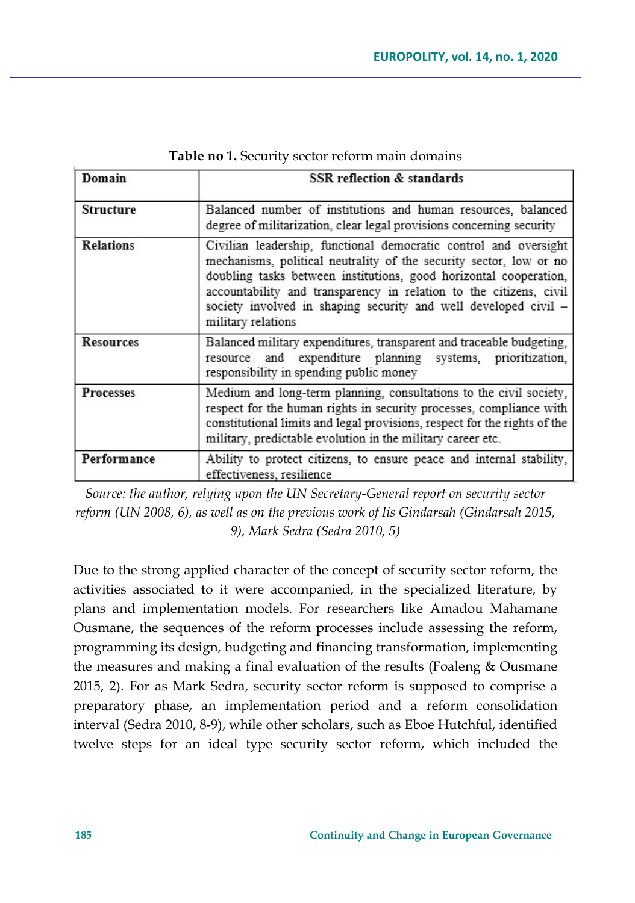| Domain           | SSR reflection & standards                                                                                                                                                                                                                                                                                                                                                 |  |  |  |  |
|------------------|----------------------------------------------------------------------------------------------------------------------------------------------------------------------------------------------------------------------------------------------------------------------------------------------------------------------------------------------------------------------------|--|--|--|--|
|                  |                                                                                                                                                                                                                                                                                                                                                                            |  |  |  |  |
| <b>Structure</b> | Balanced number of institutions and human resources, balanced<br>degree of militarization, clear legal provisions concerning security                                                                                                                                                                                                                                      |  |  |  |  |
| <b>Relations</b> | Civilian leadership, functional democratic control and oversight<br>mechanisms, political neutrality of the security sector, low or no<br>doubling tasks between institutions, good horizontal cooperation,<br>accountability and transparency in relation to the citizens, civil<br>society involved in shaping security and well developed civil -<br>military relations |  |  |  |  |
| <b>Resources</b> | Balanced military expenditures, transparent and traceable budgeting,<br>resource and expenditure planning systems, prioritization,<br>responsibility in spending public money                                                                                                                                                                                              |  |  |  |  |
| <b>Processes</b> | Medium and long-term planning, consultations to the civil society,<br>respect for the human rights in security processes, compliance with<br>constitutional limits and legal provisions, respect for the rights of the<br>military, predictable evolution in the military career etc.                                                                                      |  |  |  |  |
| Performance      | Ability to protect citizens, to ensure peace and internal stability,<br>effectiveness, resilience                                                                                                                                                                                                                                                                          |  |  |  |  |

**Table no 1.** Security sector reform main domains

*Source: the author, relying upon the UN Secretary-General report on security sector reform (UN 2008, 6), as well as on the previous work of Iis Gindarsah (Gindarsah 2015, 9), Mark Sedra (Sedra 2010, 5)*

Due to the strong applied character of the concept of security sector reform, the activities associated to it were accompanied, in the specialized literature, by plans and implementation models. For researchers like Amadou Mahamane Ousmane, the sequences of the reform processes include assessing the reform, programming its design, budgeting and financing transformation, implementing the measures and making a final evaluation of the results (Foaleng & Ousmane 2015, 2). For as Mark Sedra, security sector reform is supposed to comprise a preparatory phase, an implementation period and a reform consolidation interval (Sedra 2010, 8-9), while other scholars, such as Eboe Hutchful, identified twelve steps for an ideal type security sector reform, which included the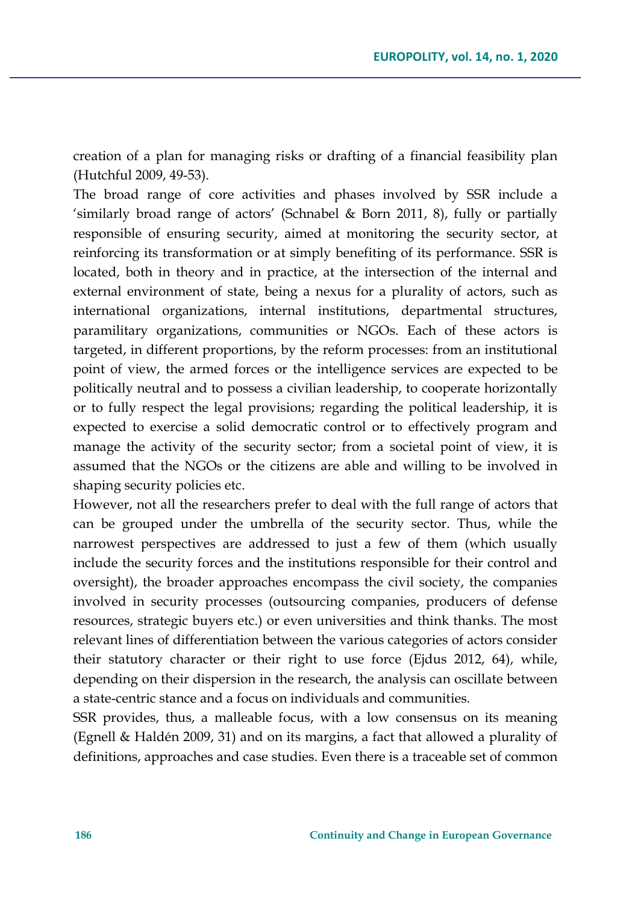creation of a plan for managing risks or drafting of a financial feasibility plan (Hutchful 2009, 49-53).

The broad range of core activities and phases involved by SSR include a 'similarly broad range of actors' (Schnabel & Born 2011, 8), fully or partially responsible of ensuring security, aimed at monitoring the security sector, at reinforcing its transformation or at simply benefiting of its performance. SSR is located, both in theory and in practice, at the intersection of the internal and external environment of state, being a nexus for a plurality of actors, such as international organizations, internal institutions, departmental structures, paramilitary organizations, communities or NGOs. Each of these actors is targeted, in different proportions, by the reform processes: from an institutional point of view, the armed forces or the intelligence services are expected to be politically neutral and to possess a civilian leadership, to cooperate horizontally or to fully respect the legal provisions; regarding the political leadership, it is expected to exercise a solid democratic control or to effectively program and manage the activity of the security sector; from a societal point of view, it is assumed that the NGOs or the citizens are able and willing to be involved in shaping security policies etc.

However, not all the researchers prefer to deal with the full range of actors that can be grouped under the umbrella of the security sector. Thus, while the narrowest perspectives are addressed to just a few of them (which usually include the security forces and the institutions responsible for their control and oversight), the broader approaches encompass the civil society, the companies involved in security processes (outsourcing companies, producers of defense resources, strategic buyers etc.) or even universities and think thanks. The most relevant lines of differentiation between the various categories of actors consider their statutory character or their right to use force (Ejdus 2012, 64), while, depending on their dispersion in the research, the analysis can oscillate between a state-centric stance and a focus on individuals and communities.

SSR provides, thus, a malleable focus, with a low consensus on its meaning (Egnell & Haldén 2009, 31) and on its margins, a fact that allowed a plurality of definitions, approaches and case studies. Even there is a traceable set of common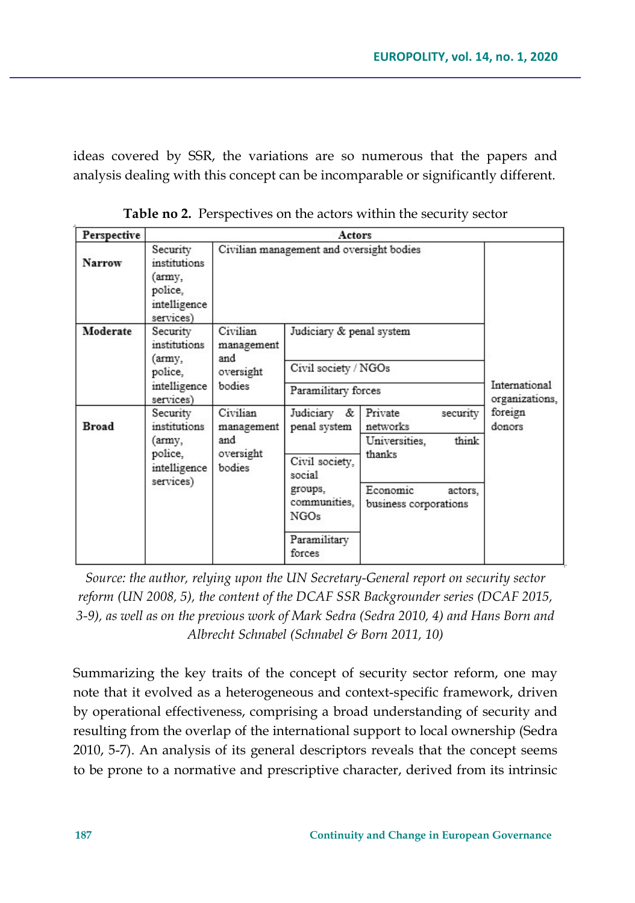ideas covered by SSR, the variations are so numerous that the papers and analysis dealing with this concept can be incomparable or significantly different.

| Perspective   | Actors                                                                     |                                                      |                                                                                                                                  |                                                                                                                     |                                 |  |
|---------------|----------------------------------------------------------------------------|------------------------------------------------------|----------------------------------------------------------------------------------------------------------------------------------|---------------------------------------------------------------------------------------------------------------------|---------------------------------|--|
| <b>Narrow</b> | Security<br>institutions<br>'army,<br>police,<br>intelligence<br>services) | Civilian management and oversight bodies             |                                                                                                                                  |                                                                                                                     |                                 |  |
| Moderate      | Security<br>institutions<br>(army,<br>police,<br>intelligence<br>services) | Civilian<br>management<br>and<br>oversight<br>bodies | Judiciary & penal system<br>Civil society / NGOs<br>Paramilitary forces                                                          |                                                                                                                     | International<br>organizations, |  |
| <b>Broad</b>  | Security<br>institutions<br>(army,<br>police,<br>intelligence<br>services) | Civilian<br>management<br>and<br>oversight<br>bodies | Judiciary &<br>penal system<br>Civil society,<br>social<br>groups,<br>communities,<br>NGO <sub>s</sub><br>Paramilitary<br>forces | Private<br>security<br>networks<br>think<br>Universities,<br>thanks<br>Economic<br>actors.<br>business corporations | foreign<br>donors               |  |

**Table no 2.** Perspectives on the actors within the security sector

*Source: the author, relying upon the UN Secretary-General report on security sector reform (UN 2008, 5), the content of the DCAF SSR Backgrounder series (DCAF 2015, 3-9), as well as on the previous work of Mark Sedra (Sedra 2010, 4) and Hans Born and Albrecht Schnabel (Schnabel & Born 2011, 10)* 

Summarizing the key traits of the concept of security sector reform, one may note that it evolved as a heterogeneous and context-specific framework, driven by operational effectiveness, comprising a broad understanding of security and resulting from the overlap of the international support to local ownership (Sedra 2010, 5-7). An analysis of its general descriptors reveals that the concept seems to be prone to a normative and prescriptive character, derived from its intrinsic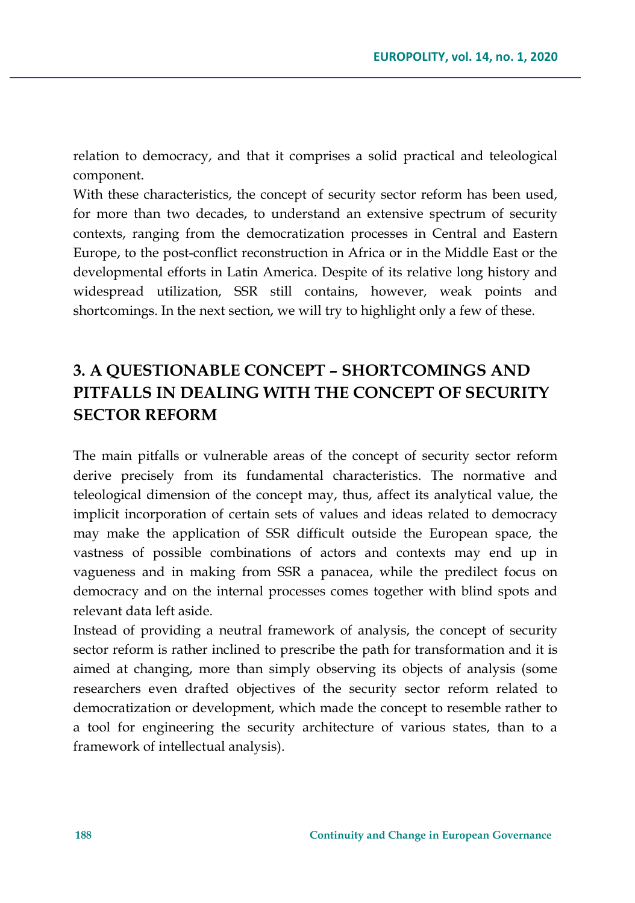relation to democracy, and that it comprises a solid practical and teleological component.

With these characteristics, the concept of security sector reform has been used, for more than two decades, to understand an extensive spectrum of security contexts, ranging from the democratization processes in Central and Eastern Europe, to the post-conflict reconstruction in Africa or in the Middle East or the developmental efforts in Latin America. Despite of its relative long history and widespread utilization, SSR still contains, however, weak points and shortcomings. In the next section, we will try to highlight only a few of these.

## **3. A QUESTIONABLE CONCEPT – SHORTCOMINGS AND PITFALLS IN DEALING WITH THE CONCEPT OF SECURITY SECTOR REFORM**

The main pitfalls or vulnerable areas of the concept of security sector reform derive precisely from its fundamental characteristics. The normative and teleological dimension of the concept may, thus, affect its analytical value, the implicit incorporation of certain sets of values and ideas related to democracy may make the application of SSR difficult outside the European space, the vastness of possible combinations of actors and contexts may end up in vagueness and in making from SSR a panacea, while the predilect focus on democracy and on the internal processes comes together with blind spots and relevant data left aside.

Instead of providing a neutral framework of analysis, the concept of security sector reform is rather inclined to prescribe the path for transformation and it is aimed at changing, more than simply observing its objects of analysis (some researchers even drafted objectives of the security sector reform related to democratization or development, which made the concept to resemble rather to a tool for engineering the security architecture of various states, than to a framework of intellectual analysis).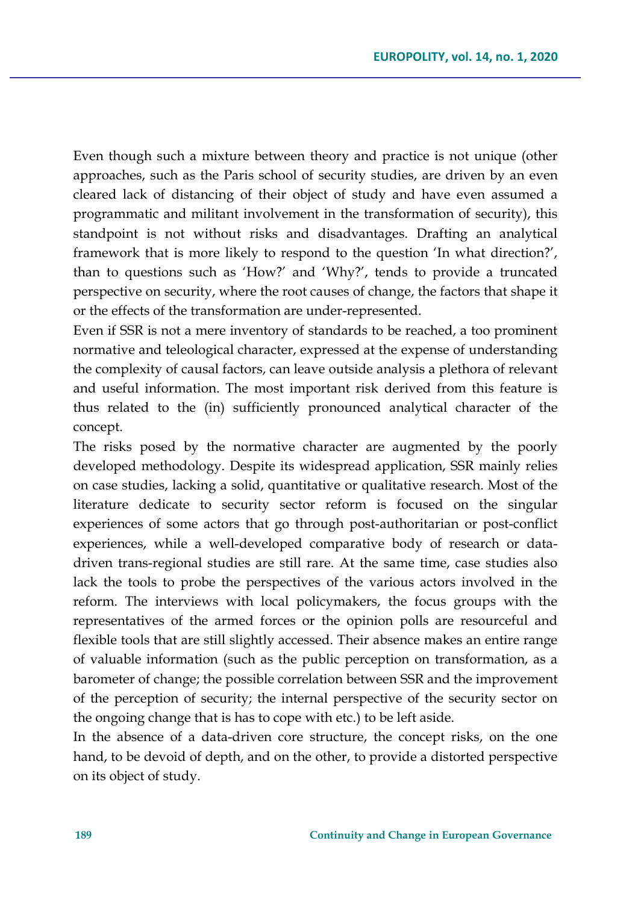Even though such a mixture between theory and practice is not unique (other approaches, such as the Paris school of security studies, are driven by an even cleared lack of distancing of their object of study and have even assumed a programmatic and militant involvement in the transformation of security), this standpoint is not without risks and disadvantages. Drafting an analytical framework that is more likely to respond to the question 'In what direction?', than to questions such as 'How?' and 'Why?', tends to provide a truncated perspective on security, where the root causes of change, the factors that shape it or the effects of the transformation are under-represented.

Even if SSR is not a mere inventory of standards to be reached, a too prominent normative and teleological character, expressed at the expense of understanding the complexity of causal factors, can leave outside analysis a plethora of relevant and useful information. The most important risk derived from this feature is thus related to the (in) sufficiently pronounced analytical character of the concept.

The risks posed by the normative character are augmented by the poorly developed methodology. Despite its widespread application, SSR mainly relies on case studies, lacking a solid, quantitative or qualitative research. Most of the literature dedicate to security sector reform is focused on the singular experiences of some actors that go through post-authoritarian or post-conflict experiences, while a well-developed comparative body of research or datadriven trans-regional studies are still rare. At the same time, case studies also lack the tools to probe the perspectives of the various actors involved in the reform. The interviews with local policymakers, the focus groups with the representatives of the armed forces or the opinion polls are resourceful and flexible tools that are still slightly accessed. Their absence makes an entire range of valuable information (such as the public perception on transformation, as a barometer of change; the possible correlation between SSR and the improvement of the perception of security; the internal perspective of the security sector on the ongoing change that is has to cope with etc.) to be left aside.

In the absence of a data-driven core structure, the concept risks, on the one hand, to be devoid of depth, and on the other, to provide a distorted perspective on its object of study.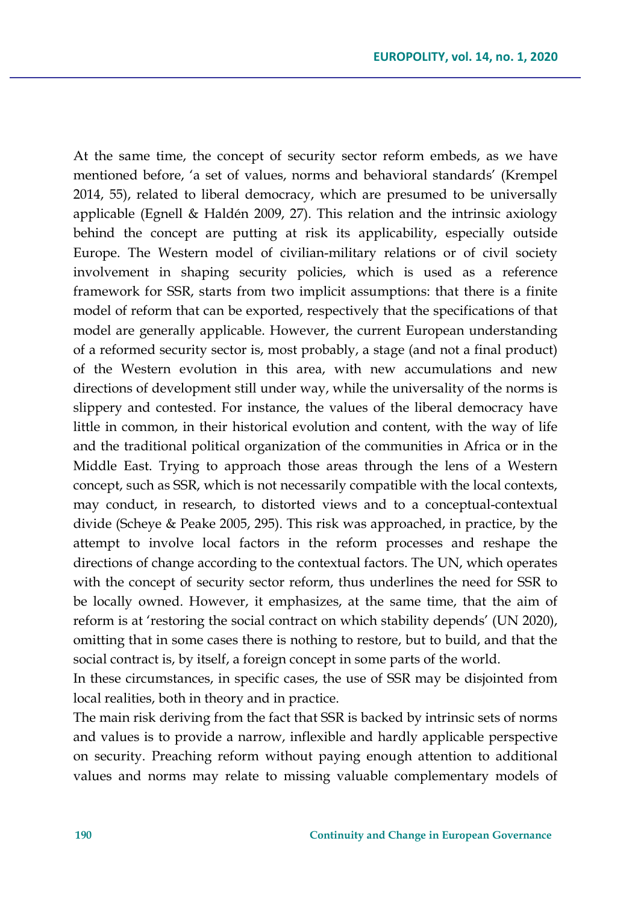At the same time, the concept of security sector reform embeds, as we have mentioned before, 'a set of values, norms and behavioral standards' (Krempel 2014, 55), related to liberal democracy, which are presumed to be universally applicable (Egnell & Haldén 2009, 27). This relation and the intrinsic axiology behind the concept are putting at risk its applicability, especially outside Europe. The Western model of civilian-military relations or of civil society involvement in shaping security policies, which is used as a reference framework for SSR, starts from two implicit assumptions: that there is a finite model of reform that can be exported, respectively that the specifications of that model are generally applicable. However, the current European understanding of a reformed security sector is, most probably, a stage (and not a final product) of the Western evolution in this area, with new accumulations and new directions of development still under way, while the universality of the norms is slippery and contested. For instance, the values of the liberal democracy have little in common, in their historical evolution and content, with the way of life and the traditional political organization of the communities in Africa or in the Middle East. Trying to approach those areas through the lens of a Western concept, such as SSR, which is not necessarily compatible with the local contexts, may conduct, in research, to distorted views and to a conceptual-contextual divide (Scheye & Peake 2005, 295). This risk was approached, in practice, by the attempt to involve local factors in the reform processes and reshape the directions of change according to the contextual factors. The UN, which operates with the concept of security sector reform, thus underlines the need for SSR to be locally owned. However, it emphasizes, at the same time, that the aim of reform is at 'restoring the social contract on which stability depends' (UN 2020), omitting that in some cases there is nothing to restore, but to build, and that the social contract is, by itself, a foreign concept in some parts of the world.

In these circumstances, in specific cases, the use of SSR may be disjointed from local realities, both in theory and in practice.

The main risk deriving from the fact that SSR is backed by intrinsic sets of norms and values is to provide a narrow, inflexible and hardly applicable perspective on security. Preaching reform without paying enough attention to additional values and norms may relate to missing valuable complementary models of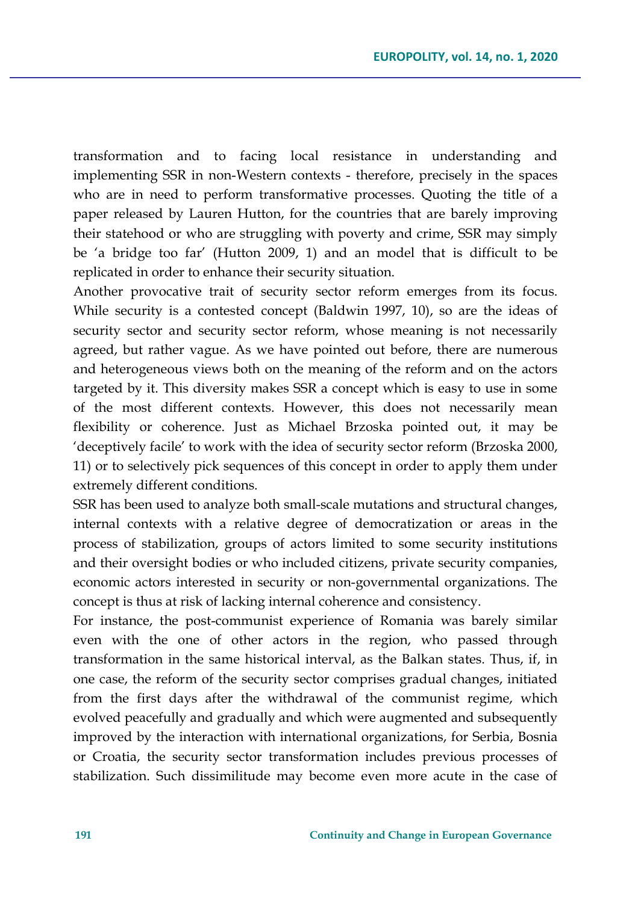transformation and to facing local resistance in understanding and implementing SSR in non-Western contexts - therefore, precisely in the spaces who are in need to perform transformative processes. Quoting the title of a paper released by Lauren Hutton, for the countries that are barely improving their statehood or who are struggling with poverty and crime, SSR may simply be 'a bridge too far' (Hutton 2009, 1) and an model that is difficult to be replicated in order to enhance their security situation.

Another provocative trait of security sector reform emerges from its focus. While security is a contested concept (Baldwin 1997, 10), so are the ideas of security sector and security sector reform, whose meaning is not necessarily agreed, but rather vague. As we have pointed out before, there are numerous and heterogeneous views both on the meaning of the reform and on the actors targeted by it. This diversity makes SSR a concept which is easy to use in some of the most different contexts. However, this does not necessarily mean flexibility or coherence. Just as Michael Brzoska pointed out, it may be 'deceptively facile' to work with the idea of security sector reform (Brzoska 2000, 11) or to selectively pick sequences of this concept in order to apply them under extremely different conditions.

SSR has been used to analyze both small-scale mutations and structural changes, internal contexts with a relative degree of democratization or areas in the process of stabilization, groups of actors limited to some security institutions and their oversight bodies or who included citizens, private security companies, economic actors interested in security or non-governmental organizations. The concept is thus at risk of lacking internal coherence and consistency.

For instance, the post-communist experience of Romania was barely similar even with the one of other actors in the region, who passed through transformation in the same historical interval, as the Balkan states. Thus, if, in one case, the reform of the security sector comprises gradual changes, initiated from the first days after the withdrawal of the communist regime, which evolved peacefully and gradually and which were augmented and subsequently improved by the interaction with international organizations, for Serbia, Bosnia or Croatia, the security sector transformation includes previous processes of stabilization. Such dissimilitude may become even more acute in the case of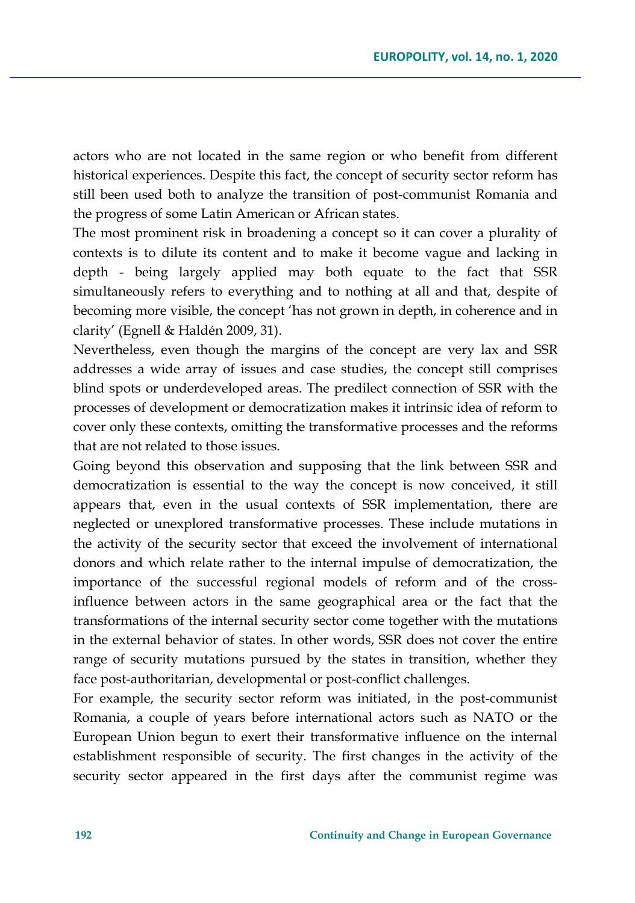actors who are not located in the same region or who benefit from different historical experiences. Despite this fact, the concept of security sector reform has still been used both to analyze the transition of post-communist Romania and the progress of some Latin American or African states.

The most prominent risk in broadening a concept so it can cover a plurality of contexts is to dilute its content and to make it become vague and lacking in depth - being largely applied may both equate to the fact that SSR simultaneously refers to everything and to nothing at all and that, despite of becoming more visible, the concept 'has not grown in depth, in coherence and in clarity' (Egnell & Haldén 2009, 31).

Nevertheless, even though the margins of the concept are very lax and SSR addresses a wide array of issues and case studies, the concept still comprises blind spots or underdeveloped areas. The predilect connection of SSR with the processes of development or democratization makes it intrinsic idea of reform to cover only these contexts, omitting the transformative processes and the reforms that are not related to those issues.

Going beyond this observation and supposing that the link between SSR and democratization is essential to the way the concept is now conceived, it still appears that, even in the usual contexts of SSR implementation, there are neglected or unexplored transformative processes. These include mutations in the activity of the security sector that exceed the involvement of international donors and which relate rather to the internal impulse of democratization, the importance of the successful regional models of reform and of the crossinfluence between actors in the same geographical area or the fact that the transformations of the internal security sector come together with the mutations in the external behavior of states. In other words, SSR does not cover the entire range of security mutations pursued by the states in transition, whether they face post-authoritarian, developmental or post-conflict challenges.

For example, the security sector reform was initiated, in the post-communist Romania, a couple of years before international actors such as NATO or the European Union begun to exert their transformative influence on the internal establishment responsible of security. The first changes in the activity of the security sector appeared in the first days after the communist regime was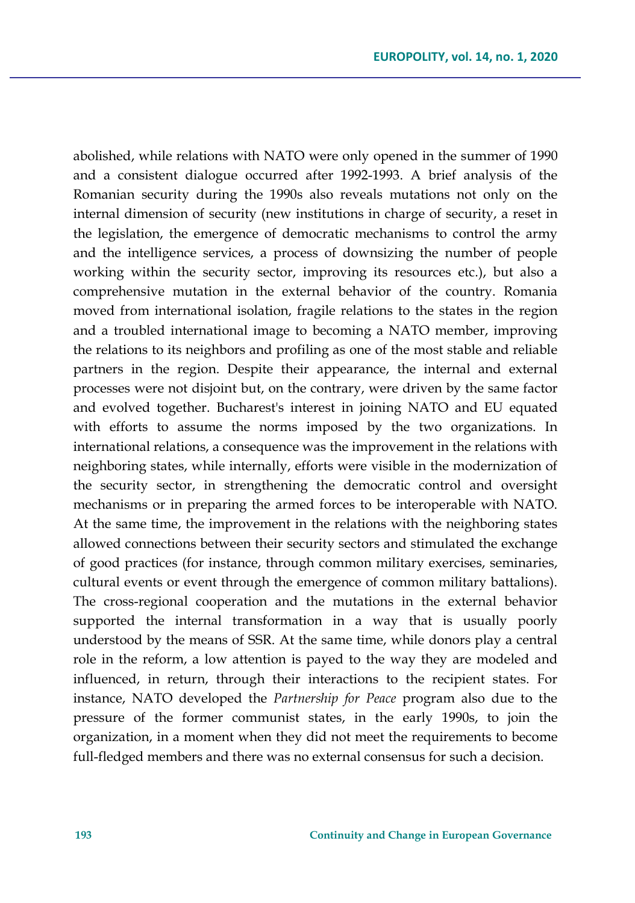abolished, while relations with NATO were only opened in the summer of 1990 and a consistent dialogue occurred after 1992-1993. A brief analysis of the Romanian security during the 1990s also reveals mutations not only on the internal dimension of security (new institutions in charge of security, a reset in the legislation, the emergence of democratic mechanisms to control the army and the intelligence services, a process of downsizing the number of people working within the security sector, improving its resources etc.), but also a comprehensive mutation in the external behavior of the country. Romania moved from international isolation, fragile relations to the states in the region and a troubled international image to becoming a NATO member, improving the relations to its neighbors and profiling as one of the most stable and reliable partners in the region. Despite their appearance, the internal and external processes were not disjoint but, on the contrary, were driven by the same factor and evolved together. Bucharest's interest in joining NATO and EU equated with efforts to assume the norms imposed by the two organizations. In international relations, a consequence was the improvement in the relations with neighboring states, while internally, efforts were visible in the modernization of the security sector, in strengthening the democratic control and oversight mechanisms or in preparing the armed forces to be interoperable with NATO. At the same time, the improvement in the relations with the neighboring states allowed connections between their security sectors and stimulated the exchange of good practices (for instance, through common military exercises, seminaries, cultural events or event through the emergence of common military battalions). The cross-regional cooperation and the mutations in the external behavior supported the internal transformation in a way that is usually poorly understood by the means of SSR. At the same time, while donors play a central role in the reform, a low attention is payed to the way they are modeled and influenced, in return, through their interactions to the recipient states. For instance, NATO developed the *Partnership for Peace* program also due to the pressure of the former communist states, in the early 1990s, to join the organization, in a moment when they did not meet the requirements to become full-fledged members and there was no external consensus for such a decision.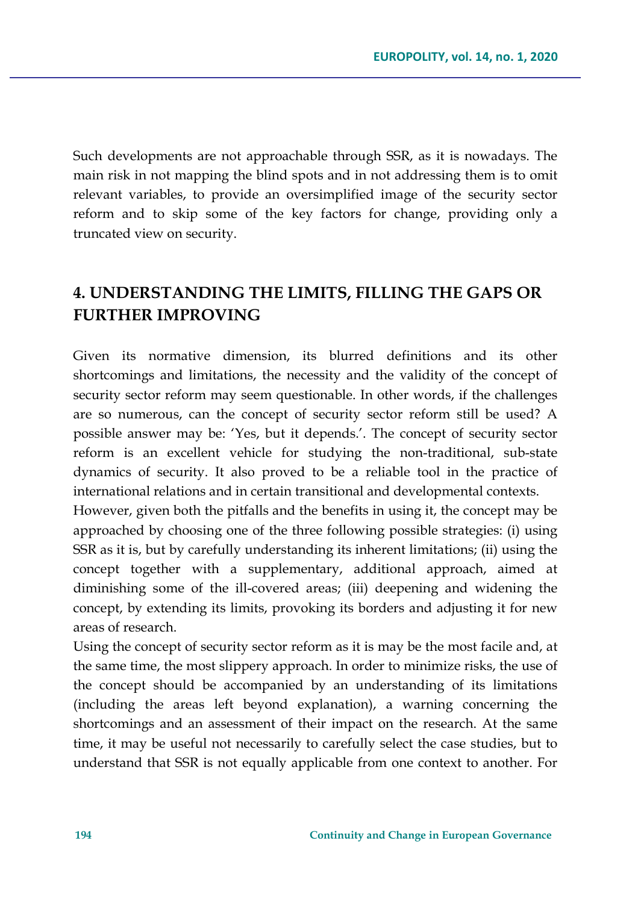Such developments are not approachable through SSR, as it is nowadays. The main risk in not mapping the blind spots and in not addressing them is to omit relevant variables, to provide an oversimplified image of the security sector reform and to skip some of the key factors for change, providing only a truncated view on security.

### **4. UNDERSTANDING THE LIMITS, FILLING THE GAPS OR FURTHER IMPROVING**

Given its normative dimension, its blurred definitions and its other shortcomings and limitations, the necessity and the validity of the concept of security sector reform may seem questionable. In other words, if the challenges are so numerous, can the concept of security sector reform still be used? A possible answer may be: 'Yes, but it depends.'. The concept of security sector reform is an excellent vehicle for studying the non-traditional, sub-state dynamics of security. It also proved to be a reliable tool in the practice of international relations and in certain transitional and developmental contexts.

However, given both the pitfalls and the benefits in using it, the concept may be approached by choosing one of the three following possible strategies: (i) using SSR as it is, but by carefully understanding its inherent limitations; (ii) using the concept together with a supplementary, additional approach, aimed at diminishing some of the ill-covered areas; (iii) deepening and widening the concept, by extending its limits, provoking its borders and adjusting it for new areas of research.

Using the concept of security sector reform as it is may be the most facile and, at the same time, the most slippery approach. In order to minimize risks, the use of the concept should be accompanied by an understanding of its limitations (including the areas left beyond explanation), a warning concerning the shortcomings and an assessment of their impact on the research. At the same time, it may be useful not necessarily to carefully select the case studies, but to understand that SSR is not equally applicable from one context to another. For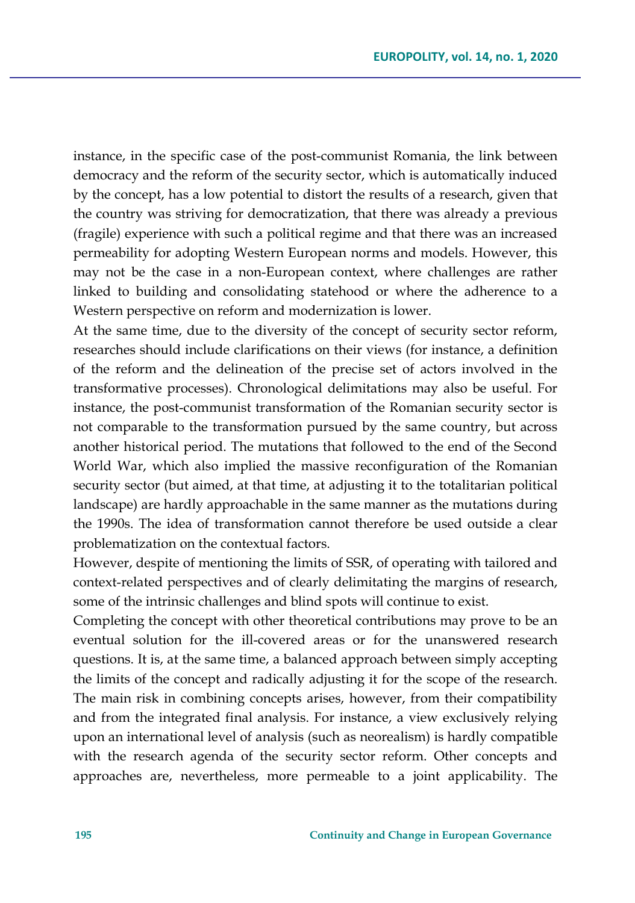instance, in the specific case of the post-communist Romania, the link between democracy and the reform of the security sector, which is automatically induced by the concept, has a low potential to distort the results of a research, given that the country was striving for democratization, that there was already a previous (fragile) experience with such a political regime and that there was an increased permeability for adopting Western European norms and models. However, this may not be the case in a non-European context, where challenges are rather linked to building and consolidating statehood or where the adherence to a Western perspective on reform and modernization is lower.

At the same time, due to the diversity of the concept of security sector reform, researches should include clarifications on their views (for instance, a definition of the reform and the delineation of the precise set of actors involved in the transformative processes). Chronological delimitations may also be useful. For instance, the post-communist transformation of the Romanian security sector is not comparable to the transformation pursued by the same country, but across another historical period. The mutations that followed to the end of the Second World War, which also implied the massive reconfiguration of the Romanian security sector (but aimed, at that time, at adjusting it to the totalitarian political landscape) are hardly approachable in the same manner as the mutations during the 1990s. The idea of transformation cannot therefore be used outside a clear problematization on the contextual factors.

However, despite of mentioning the limits of SSR, of operating with tailored and context-related perspectives and of clearly delimitating the margins of research, some of the intrinsic challenges and blind spots will continue to exist.

Completing the concept with other theoretical contributions may prove to be an eventual solution for the ill-covered areas or for the unanswered research questions. It is, at the same time, a balanced approach between simply accepting the limits of the concept and radically adjusting it for the scope of the research. The main risk in combining concepts arises, however, from their compatibility and from the integrated final analysis. For instance, a view exclusively relying upon an international level of analysis (such as neorealism) is hardly compatible with the research agenda of the security sector reform. Other concepts and approaches are, nevertheless, more permeable to a joint applicability. The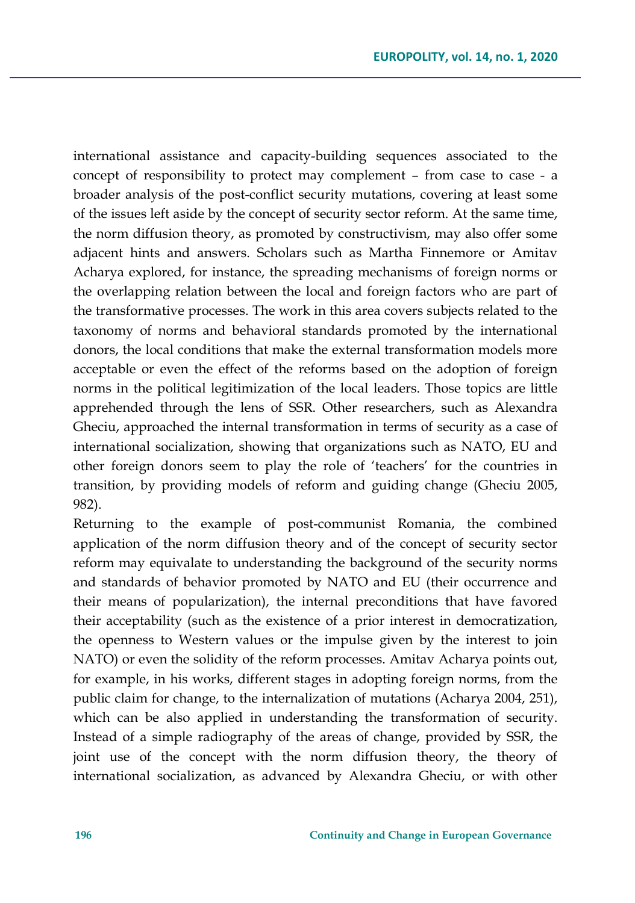international assistance and capacity-building sequences associated to the concept of responsibility to protect may complement – from case to case - a broader analysis of the post-conflict security mutations, covering at least some of the issues left aside by the concept of security sector reform. At the same time, the norm diffusion theory, as promoted by constructivism, may also offer some adjacent hints and answers. Scholars such as Martha Finnemore or Amitav Acharya explored, for instance, the spreading mechanisms of foreign norms or the overlapping relation between the local and foreign factors who are part of the transformative processes. The work in this area covers subjects related to the taxonomy of norms and behavioral standards promoted by the international donors, the local conditions that make the external transformation models more acceptable or even the effect of the reforms based on the adoption of foreign norms in the political legitimization of the local leaders. Those topics are little apprehended through the lens of SSR. Other researchers, such as Alexandra Gheciu, approached the internal transformation in terms of security as a case of international socialization, showing that organizations such as NATO, EU and other foreign donors seem to play the role of 'teachers' for the countries in transition, by providing models of reform and guiding change (Gheciu 2005, 982).

Returning to the example of post-communist Romania, the combined application of the norm diffusion theory and of the concept of security sector reform may equivalate to understanding the background of the security norms and standards of behavior promoted by NATO and EU (their occurrence and their means of popularization), the internal preconditions that have favored their acceptability (such as the existence of a prior interest in democratization, the openness to Western values or the impulse given by the interest to join NATO) or even the solidity of the reform processes. Amitav Acharya points out, for example, in his works, different stages in adopting foreign norms, from the public claim for change, to the internalization of mutations (Acharya 2004, 251), which can be also applied in understanding the transformation of security. Instead of a simple radiography of the areas of change, provided by SSR, the joint use of the concept with the norm diffusion theory, the theory of international socialization, as advanced by Alexandra Gheciu, or with other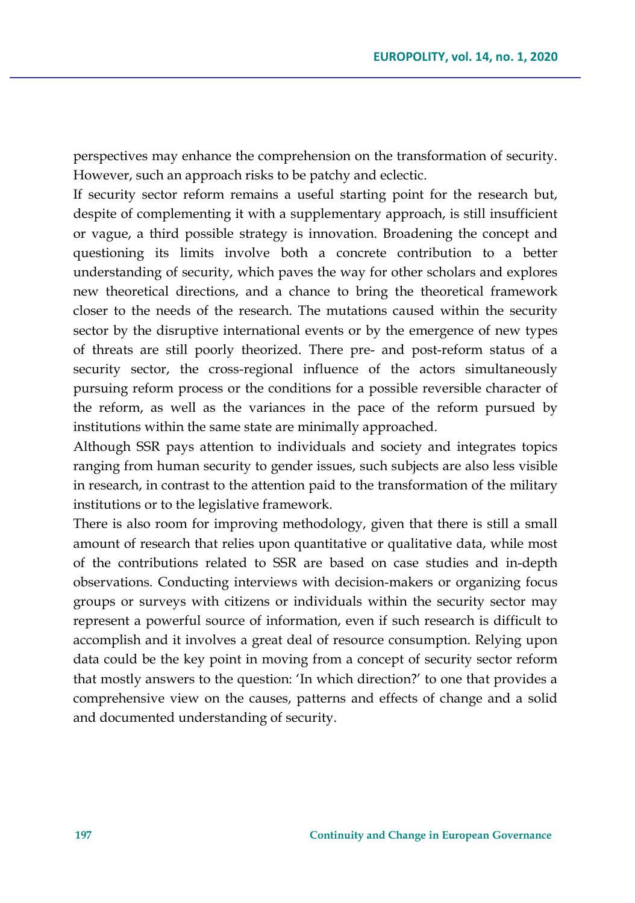perspectives may enhance the comprehension on the transformation of security. However, such an approach risks to be patchy and eclectic.

If security sector reform remains a useful starting point for the research but, despite of complementing it with a supplementary approach, is still insufficient or vague, a third possible strategy is innovation. Broadening the concept and questioning its limits involve both a concrete contribution to a better understanding of security, which paves the way for other scholars and explores new theoretical directions, and a chance to bring the theoretical framework closer to the needs of the research. The mutations caused within the security sector by the disruptive international events or by the emergence of new types of threats are still poorly theorized. There pre- and post-reform status of a security sector, the cross-regional influence of the actors simultaneously pursuing reform process or the conditions for a possible reversible character of the reform, as well as the variances in the pace of the reform pursued by institutions within the same state are minimally approached.

Although SSR pays attention to individuals and society and integrates topics ranging from human security to gender issues, such subjects are also less visible in research, in contrast to the attention paid to the transformation of the military institutions or to the legislative framework.

There is also room for improving methodology, given that there is still a small amount of research that relies upon quantitative or qualitative data, while most of the contributions related to SSR are based on case studies and in-depth observations. Conducting interviews with decision-makers or organizing focus groups or surveys with citizens or individuals within the security sector may represent a powerful source of information, even if such research is difficult to accomplish and it involves a great deal of resource consumption. Relying upon data could be the key point in moving from a concept of security sector reform that mostly answers to the question: 'In which direction?' to one that provides a comprehensive view on the causes, patterns and effects of change and a solid and documented understanding of security.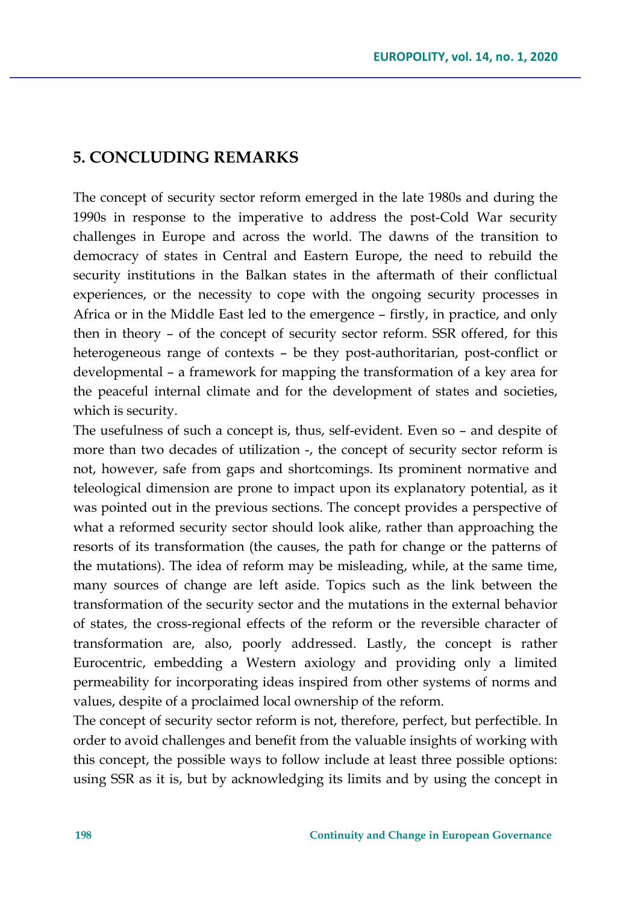### **5. CONCLUDING REMARKS**

The concept of security sector reform emerged in the late 1980s and during the 1990s in response to the imperative to address the post-Cold War security challenges in Europe and across the world. The dawns of the transition to democracy of states in Central and Eastern Europe, the need to rebuild the security institutions in the Balkan states in the aftermath of their conflictual experiences, or the necessity to cope with the ongoing security processes in Africa or in the Middle East led to the emergence – firstly, in practice, and only then in theory – of the concept of security sector reform. SSR offered, for this heterogeneous range of contexts – be they post-authoritarian, post-conflict or developmental – a framework for mapping the transformation of a key area for the peaceful internal climate and for the development of states and societies, which is security.

The usefulness of such a concept is, thus, self-evident. Even so – and despite of more than two decades of utilization -, the concept of security sector reform is not, however, safe from gaps and shortcomings. Its prominent normative and teleological dimension are prone to impact upon its explanatory potential, as it was pointed out in the previous sections. The concept provides a perspective of what a reformed security sector should look alike, rather than approaching the resorts of its transformation (the causes, the path for change or the patterns of the mutations). The idea of reform may be misleading, while, at the same time, many sources of change are left aside. Topics such as the link between the transformation of the security sector and the mutations in the external behavior of states, the cross-regional effects of the reform or the reversible character of transformation are, also, poorly addressed. Lastly, the concept is rather Eurocentric, embedding a Western axiology and providing only a limited permeability for incorporating ideas inspired from other systems of norms and values, despite of a proclaimed local ownership of the reform.

The concept of security sector reform is not, therefore, perfect, but perfectible. In order to avoid challenges and benefit from the valuable insights of working with this concept, the possible ways to follow include at least three possible options: using SSR as it is, but by acknowledging its limits and by using the concept in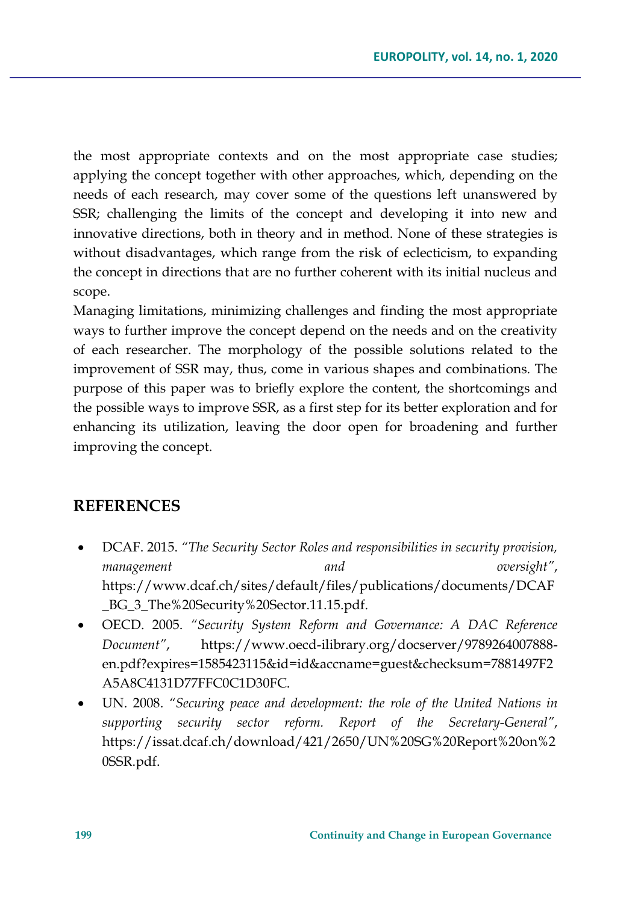the most appropriate contexts and on the most appropriate case studies; applying the concept together with other approaches, which, depending on the needs of each research, may cover some of the questions left unanswered by SSR; challenging the limits of the concept and developing it into new and innovative directions, both in theory and in method. None of these strategies is without disadvantages, which range from the risk of eclecticism, to expanding the concept in directions that are no further coherent with its initial nucleus and scope.

Managing limitations, minimizing challenges and finding the most appropriate ways to further improve the concept depend on the needs and on the creativity of each researcher. The morphology of the possible solutions related to the improvement of SSR may, thus, come in various shapes and combinations. The purpose of this paper was to briefly explore the content, the shortcomings and the possible ways to improve SSR, as a first step for its better exploration and for enhancing its utilization, leaving the door open for broadening and further improving the concept.

#### **REFERENCES**

- DCAF. 2015. *"The Security Sector Roles and responsibilities in security provision, management and oversight"*, [https://www.dcaf.ch/sites/default/files/publications/documents/DCAF](https://www.dcaf.ch/sites/default/files/publications/documents/DCAF_BG_3_The%20Security%20Sector.11.15.pdf) [\\_BG\\_3\\_The%20Security%20Sector.11.15.pdf](https://www.dcaf.ch/sites/default/files/publications/documents/DCAF_BG_3_The%20Security%20Sector.11.15.pdf).
- OECD. 2005. *"Security System Reform and Governance: A DAC Reference Document"*, https://www.oecd-[ilibrary.org/docserver/9789264007888](https://www.oecd-ilibrary.org/docserver/9789264007888-en.pdf?expires=1585423115&id=id&accname=guest&checksum=7881497F2A5A8C4131D77FFC0C1D30FC) [en.pdf?expires=1585423115&id=id&accname=guest&checksum=7881497F2](https://www.oecd-ilibrary.org/docserver/9789264007888-en.pdf?expires=1585423115&id=id&accname=guest&checksum=7881497F2A5A8C4131D77FFC0C1D30FC) [A5A8C4131D77FFC0C1D30FC](https://www.oecd-ilibrary.org/docserver/9789264007888-en.pdf?expires=1585423115&id=id&accname=guest&checksum=7881497F2A5A8C4131D77FFC0C1D30FC).
- UN. 2008. *"Securing peace and development: the role of the United Nations in supporting security sector reform. Report of the Secretary-General"*, [https://issat.dcaf.ch/download/421/2650/UN%20SG%20Report%20on%2](https://issat.dcaf.ch/download/421/2650/UN%20SG%20Report%20on%20SSR.pdf) [0SSR.pdf](https://issat.dcaf.ch/download/421/2650/UN%20SG%20Report%20on%20SSR.pdf).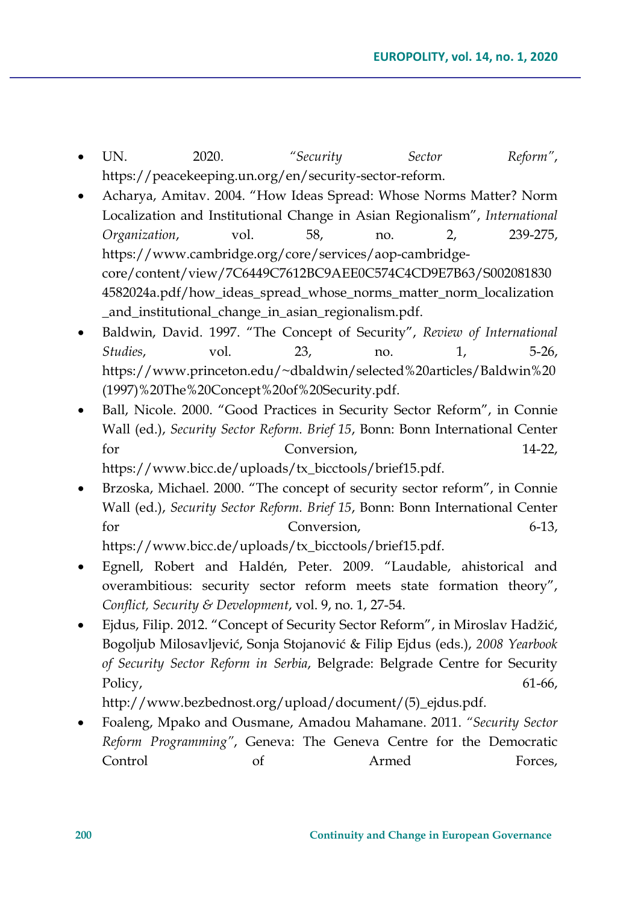- UN. 2020. *"Security Sector Reform"*, [https://peacekeeping.un.org/en/security](https://peacekeeping.un.org/en/security-sector-reform)-sector-reform.
- Acharya, Amitav. 2004. "How Ideas Spread: Whose Norms Matter? Norm Localization and Institutional Change in Asian Regionalism", *International Organization*, vol. 58, no. 2, 239-275, [https://www.cambridge.org/core/services/aop](https://www.cambridge.org/core/services/aop-cambridge-core/content/view/7C6449C7612BC9AEE0C574C4CD9E7B63/S0020818304582024a.pdf/how_ideas_spread_whose_norms_matter_norm_localization_and_institutional_change_in_asian_regionalism.pdf)-cambridge[core/content/view/7C6449C7612BC9AEE0C574C4CD9E7B63/S002081830](https://www.cambridge.org/core/services/aop-cambridge-core/content/view/7C6449C7612BC9AEE0C574C4CD9E7B63/S0020818304582024a.pdf/how_ideas_spread_whose_norms_matter_norm_localization_and_institutional_change_in_asian_regionalism.pdf) 4582024a.pdf/how ideas spread whose norms matter norm localization [\\_and\\_institutional\\_change\\_in\\_asian\\_regionalism.pdf](https://www.cambridge.org/core/services/aop-cambridge-core/content/view/7C6449C7612BC9AEE0C574C4CD9E7B63/S0020818304582024a.pdf/how_ideas_spread_whose_norms_matter_norm_localization_and_institutional_change_in_asian_regionalism.pdf).
- Baldwin, David. 1997. "The Concept of Security", *Review of International Studies*, vol. 23, no. 1, 5-26, [https://www.princeton.edu/~dbaldwin/selected%20articles/Baldwin%20](https://www.princeton.edu/%7Edbaldwin/selected%20articles/Baldwin%20(1997)%20The%20Concept%20of%20Security.pdf) [\(1997\)%20The%20Concept%20of%20Security.pdf](https://www.princeton.edu/%7Edbaldwin/selected%20articles/Baldwin%20(1997)%20The%20Concept%20of%20Security.pdf).
- Ball, Nicole. 2000. "Good Practices in Security Sector Reform", in Connie Wall (ed.), *Security Sector Reform. Brief 15*, Bonn: Bonn International Center for Conversion, 14-22, [https://www.bicc.de/uploads/tx\\_bicctools/brief15.pdf](https://www.bicc.de/uploads/tx_bicctools/brief15.pdf).
- Brzoska, Michael. 2000. "The concept of security sector reform", in Connie Wall (ed.), *Security Sector Reform. Brief 15*, Bonn: Bonn International Center for Conversion, 6-13, [https://www.bicc.de/uploads/tx\\_bicctools/brief15.pdf](https://www.bicc.de/uploads/tx_bicctools/brief15.pdf).
- Egnell, Robert and Haldén, Peter. 2009. "Laudable, ahistorical and overambitious: security sector reform meets state formation theory", *Conflict, Security & Development*, vol. 9, no. 1, 27-54.
- Ejdus, Filip. 2012. "Concept of Security Sector Reform", in Miroslav Hadžić, Bogoljub Milosavljević, Sonja Stojanović & Filip Ejdus (eds.), *2008 Yearbook of Security Sector Reform in Serbia*, Belgrade: Belgrade Centre for Security Policy, 61-66,

http://www.bezbednost.org/upload/document/(5)\_ejdus.pdf.

• Foaleng, Mpako and Ousmane, Amadou Mahamane. 2011. *"Security Sector Reform Programming"*, Geneva: The Geneva Centre for the Democratic Control of Armed Forces,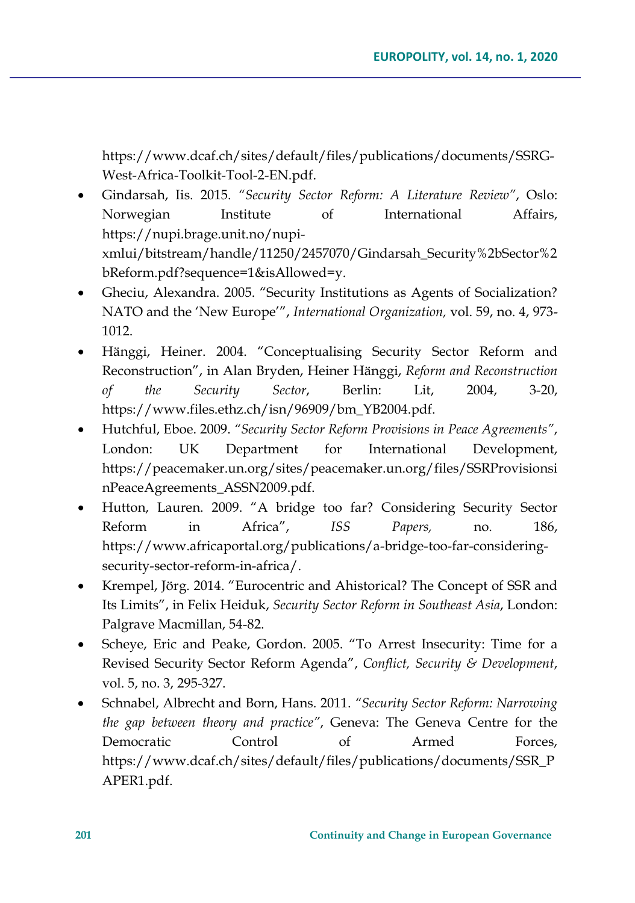https://www.dcaf.ch/sites/default/files/publications/documents/SSRG-West-Africa-Toolkit-Tool-2-EN.pdf.

- Gindarsah, Iis. 2015. *"Security Sector Reform: A Literature Review"*, Oslo: Norwegian Institute of International Affairs, https://nupi.brage.unit.no/nupixmlui/bitstream/handle/11250/2457070/Gindarsah\_Security%2bSector%2 bReform.pdf?sequence=1&isAllowed=y.
- Gheciu, Alexandra. 2005. "Security Institutions as Agents of Socialization? NATO and the 'New Europe'", *International Organization,* vol. 59, no. 4, 973- 1012.
- Hänggi, Heiner. 2004. "Conceptualising Security Sector Reform and Reconstruction", in Alan Bryden, Heiner Hänggi, *Reform and Reconstruction of the Security Sector*, Berlin: Lit, 2004, 3-20, https://www.files.ethz.ch/isn/96909/bm\_YB2004.pdf.
- Hutchful, Eboe. 2009. *"Security Sector Reform Provisions in Peace Agreements"*, London: UK Department for International Development, https://peacemaker.un.org/sites/peacemaker.un.org/files/SSRProvisionsi nPeaceAgreements\_ASSN2009.pdf.
- Hutton, Lauren. 2009. "A bridge too far? Considering Security Sector Reform in Africa", *ISS Papers,* no. 186, https://www.africaportal.org/publications/a-bridge-too-far-consideringsecurity-sector-reform-in-africa/.
- Krempel, Jörg. 2014. "Eurocentric and Ahistorical? The Concept of SSR and Its Limits", in Felix Heiduk, *Security Sector Reform in Southeast Asia*, London: Palgrave Macmillan, 54-82.
- Scheye, Eric and Peake, Gordon. 2005. "To Arrest Insecurity: Time for a Revised Security Sector Reform Agenda", *Conflict, Security & Development*, vol. 5, no. 3, 295-327.
- Schnabel, Albrecht and Born, Hans. 2011. *"Security Sector Reform: Narrowing the gap between theory and practice"*, Geneva: The Geneva Centre for the Democratic Control of Armed Forces, https://www.dcaf.ch/sites/default/files/publications/documents/SSR\_P APER1.pdf.